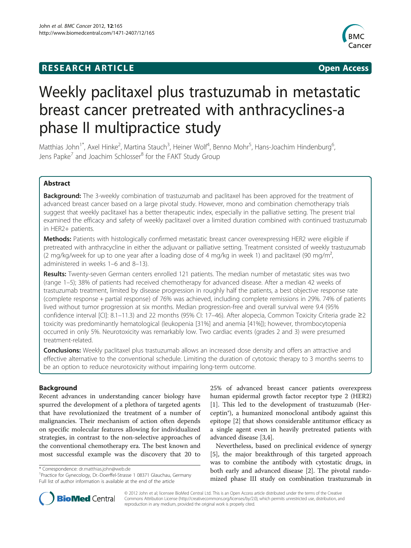# **RESEARCH ARTICLE Example 2014 CONSIDERING A RESEARCH ARTICLE**



# Weekly paclitaxel plus trastuzumab in metastatic breast cancer pretreated with anthracyclines-a phase II multipractice study

Matthias John<sup>1\*</sup>, Axel Hinke<sup>2</sup>, Martina Stauch<sup>3</sup>, Heiner Wolf<sup>4</sup>, Benno Mohr<sup>5</sup>, Hans-Joachim Hindenburg<sup>6</sup> , Jens Papke<sup>7</sup> and Joachim Schlosser<sup>8</sup> for the FAKT Study Group

# Abstract

**Background:** The 3-weekly combination of trastuzumab and paclitaxel has been approved for the treatment of advanced breast cancer based on a large pivotal study. However, mono and combination chemotherapy trials suggest that weekly paclitaxel has a better therapeutic index, especially in the palliative setting. The present trial examined the efficacy and safety of weekly paclitaxel over a limited duration combined with continued trastuzumab in HER2+ patients.

**Methods:** Patients with histologically confirmed metastatic breast cancer overexpressing HER2 were eligible if pretreated with anthracycline in either the adjuvant or palliative setting. Treatment consisted of weekly trastuzumab (2 mg/kg/week for up to one year after a loading dose of 4 mg/kg in week 1) and paclitaxel (90 mg/m<sup>2</sup>, administered in weeks 1–6 and 8–13).

Results: Twenty-seven German centers enrolled 121 patients. The median number of metastatic sites was two (range 1–5); 38% of patients had received chemotherapy for advanced disease. After a median 42 weeks of trastuzumab treatment, limited by disease progression in roughly half the patients, a best objective response rate (complete response + partial response) of 76% was achieved, including complete remissions in 29%. 74% of patients lived without tumor progression at six months. Median progression-free and overall survival were 9.4 (95% confidence interval [CI]: 8.1–11.3) and 22 months (95% CI: 17–46). After alopecia, Common Toxicity Criteria grade ≥2 toxicity was predominantly hematological (leukopenia [31%] and anemia [41%]); however, thrombocytopenia occurred in only 5%. Neurotoxicity was remarkably low. Two cardiac events (grades 2 and 3) were presumed treatment-related.

**Conclusions:** Weekly paclitaxel plus trastuzumab allows an increased dose density and offers an attractive and effective alternative to the conventional schedule. Limiting the duration of cytotoxic therapy to 3 months seems to be an option to reduce neurotoxicity without impairing long-term outcome.

# Background

Recent advances in understanding cancer biology have spurred the development of a plethora of targeted agents that have revolutionized the treatment of a number of malignancies. Their mechanism of action often depends on specific molecular features allowing for individualized strategies, in contrast to the non-selective approaches of the conventional chemotherapy era. The best known and most successful example was the discovery that 20 to

\* Correspondence: [dr.matthias.john@web.de](mailto:dr.matthias.john@web.de) <sup>1</sup>

25% of advanced breast cancer patients overexpress human epidermal growth factor receptor type 2 (HER2) [[1\]](#page-5-0). This led to the development of trastuzumab (Herceptin®), a humanized monoclonal antibody against this epitope [[2\]](#page-6-0) that shows considerable antitumor efficacy as a single agent even in heavily pretreated patients with advanced disease [[3,4\]](#page-6-0).

Nevertheless, based on preclinical evidence of synergy [[5\]](#page-6-0), the major breakthrough of this targeted approach was to combine the antibody with cytostatic drugs, in both early and advanced disease [\[2](#page-6-0)]. The pivotal randomized phase III study on combination trastuzumab in



© 2012 John et al; licensee BioMed Central Ltd. This is an Open Access article distributed under the terms of the Creative Commons Attribution License (http://creativecommons.org/licenses/by/2.0), which permits unrestricted use, distribution, and reproduction in any medium, provided the original work is properly cited.

<sup>&</sup>lt;sup>1</sup> Practice for Gynecology, Dr.-Doerffel-Strasse 1 08371 Glauchau, Germany Full list of author information is available at the end of the article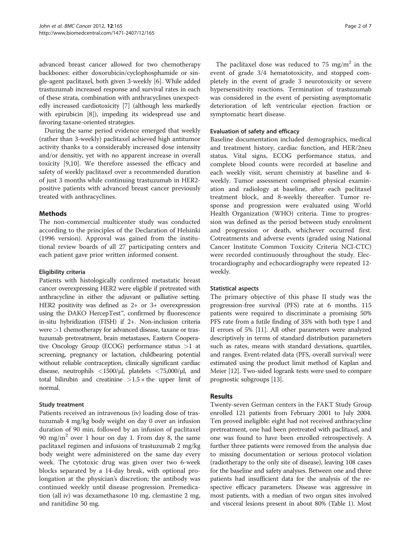advanced breast cancer allowed for two chemotherapy backbones: either doxorubicin/cyclophosphamide or single-agent paclitaxel, both given 3-weekly [\[6\]](#page-6-0). While added trastuzumab increased response and survival rates in each of these strata, combination with anthracyclines unexpectedly increased cardiotoxicity [\[7](#page-6-0)] (although less markedly with epirubicin [\[8\]](#page-6-0)), impeding its widespread use and favoring taxane-oriented strategies.

During the same period evidence emerged that weekly (rather than 3-weekly) paclitaxel achieved high antitumor activity thanks to a considerably increased dose intensity and/or densitiy, yet with no apparent increase in overall toxicity [\[9,10\]](#page-6-0). We therefore assessed the efficacy and safety of weekly paclitaxel over a recommended duration of just 3 months while continuing trastuzumab in HER2 positive patients with advanced breast cancer previously treated with anthracyclines.

# Methods

The non-commercial multicenter study was conducted according to the principles of the Declaration of Helsinki (1996 version). Approval was gained from the institutional review boards of all 27 participating centers and each patient gave prior written informed consent.

#### Eligibility criteria

Patients with histologically confirmed metastatic breast cancer overexpressing HER2 were eligible if pretreated with anthracycline in either the adjuvant or palliative setting. HER2 positivity was defined as 2+ or 3+ overexpression using the DAKO HercepTest™, confirmed by fluorescence in-situ hybridization (FISH) if 2+. Non-inclusion criteria were >1 chemotherapy for advanced disease, taxane or trastuzumab pretreatment, brain metastases, Eastern Cooperative Oncology Group (ECOG) performance status >1 at screening, pregnancy or lactation, childbearing potential without reliable contraception, clinically significant cardiac disease, neutrophils <1500/μl, platelets <75,000/μl, and total bilirubin and creatinine  $>1.5 \times$  the upper limit of normal.

# Study treatment

Patients received an intravenous (iv) loading dose of trastuzumab 4 mg/kg body weight on day 0 over an infusion duration of 90 min, followed by an infusion of paclitaxel 90 mg/m<sup>2</sup> over 1 hour on day 1. From day 8, the same paclitaxel regimen and infusions of trastuzumab 2 mg/kg body weight were administered on the same day every week. The cytotoxic drug was given over two 6-week blocks separated by a 14-day break, with optional prolongation at the physician's discretion; the antibody was continued weekly until disease progression. Premedication (all iv) was dexamethasone 10 mg, clemastine 2 mg, and ranitidine 50 mg.

The paclitaxel dose was reduced to 75 mg/m<sup>2</sup> in the event of grade 3/4 hematotoxicity, and stopped completely in the event of grade 3 neurotoxicity or severe hypersensitivity reactions. Termination of trastuzumab was considered in the event of persisting asymptomatic deterioration of left ventricular ejection fraction or symptomatic heart disease.

#### Evaluation of safety and efficacy

Baseline documentation included demographics, medical and treatment history, cardiac function, and HER/2neu status. Vital signs, ECOG performance status, and complete blood counts were recorded at baseline and each weekly visit, serum chemistry at baseline and 4 weekly. Tumor assessment comprised physical examination and radiology at baseline, after each paclitaxel treatment block, and 8-weekly thereafter. Tumor response and progression were evaluated using World Health Organization (WHO) criteria. Time to progression was defined as the period between study enrolment and progression or death, whichever occurred first. Cotreatments and adverse events (graded using National Cancer Institute Common Toxicity Criteria NCI-CTC) were recorded continuously throughout the study. Electrocardiography and echocardiography were repeated 12 weekly.

# Statistical aspects

The primary objective of this phase II study was the progression-free survival (PFS) rate at 6 months. 115 patients were required to discriminate a promising 50% PFS rate from a futile finding of 35% with both type I and II errors of 5% [\[11](#page-6-0)]. All other parameters were analyzed descriptively in terms of standard distribution parameters such as rates, means with standard deviations, quartiles, and ranges. Event-related data (PFS, overall survival) were estimated using the product limit method of Kaplan and Meier [\[12\]](#page-6-0). Two-sided logrank tests were used to compare prognostic subgroups [\[13\]](#page-6-0).

# Results

Twenty-seven German centers in the FAKT Study Group enrolled 121 patients from February 2001 to July 2004. Ten proved ineligible: eight had not received anthracycline pretreatment, one had been pretreated with paclitaxel, and one was found to have been enrolled retrospectively. A further three patients were removed from the analysis due to missing documentation or serious protocol violation (radiotherapy to the only site of disease), leaving 108 cases for the baseline and safety analyses. Between one and three patients had insufficient data for the analysis of the respective efficacy parameters. Disease was aggressive in most patients, with a median of two organ sites involved and visceral lesions present in about 80% (Table [1](#page-2-0)). Most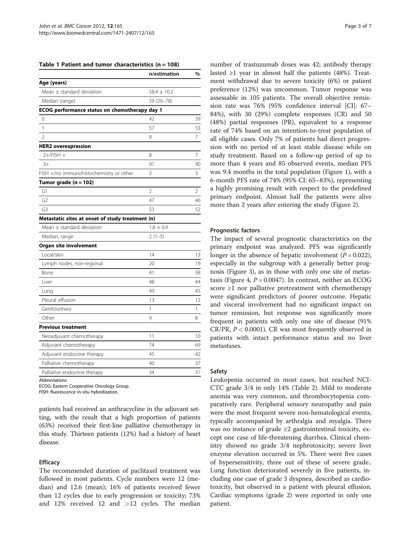<span id="page-2-0"></span>

|  |  |  |  |  | Table 1 Patient and tumor characteristics $(n = 108)$ |  |  |
|--|--|--|--|--|-------------------------------------------------------|--|--|
|--|--|--|--|--|-------------------------------------------------------|--|--|

|                                                  | n/estimation    | $\frac{0}{0}$ |
|--------------------------------------------------|-----------------|---------------|
| Age (years)                                      |                 |               |
| Mean $\pm$ standard deviation                    | $58.4 \pm 10.2$ |               |
| Median (range)                                   | 59 (29-78)      |               |
| ECOG performance status on chemotherapy day 1    |                 |               |
| 0                                                | 42              | 39            |
| 1                                                | 57              | 53            |
| $\overline{2}$                                   | 8               | 7             |
| <b>HER2</b> overexpression                       |                 |               |
| $2+/FISH +$                                      | 8               | 7             |
| $3+$                                             | 97              | 90            |
| FISH +/no immunohistochemistry or other          | 3               | 3             |
| Tumor grade $(n = 102)$                          |                 |               |
| G1                                               | $\overline{2}$  | 2             |
| G <sub>2</sub>                                   | 47              | 46            |
| G <sub>3</sub>                                   | 53              | 52            |
| Metastatic sites at onset of study treatment (n) |                 |               |
| Mean $\pm$ standard deviation                    | $1.8 \pm 0.9$   |               |
| Median, range                                    | $2(1-5)$        |               |
| Organ site involvement                           |                 |               |
| Local/skin                                       | 14              | 13            |
| Lymph nodes, non-regional                        | 20              | 19            |
| Bone                                             | 41              | 38            |
| Liver                                            | 48              | 44            |
| Lung                                             | 49              | 45            |
| Pleural effusion                                 | 13              | 12            |
| Genitourinary                                    | 1               | 1             |
| Other                                            | 9               | 8             |
| <b>Previous treatment</b>                        |                 |               |
| Neoadjuvant chemotherapy                         | 11              | 10            |
| Adjuvant chemotherapy                            | 74              | 69            |
| Adjuvant endocrine therapy                       | 45              | 42            |
| Palliative chemotherapy                          | 40              | 37            |
| Palliative endocrine therapy                     | 34              | 31            |
|                                                  |                 |               |

Abbreviations

ECOG: Eastern Cooperative Oncology Group.

FISH: fluorescence in-situ hybridization.

patients had received an anthracycline in the adjuvant setting, with the result that a high proportion of patients (63%) received their first-line palliative chemotherapy in this study. Thirteen patients (12%) had a history of heart disease.

#### **Efficacy**

The recommended duration of paclitaxel treatment was followed in most patients. Cycle numbers were 12 (median) and 12.6 (mean); 16% of patients received fewer than 12 cycles due to early progression or toxicity; 73% and  $12\%$  received  $12$  and  $>12$  cycles. The median

number of trastuzumab doses was 42; antibody therapy lasted ≥1 year in almost half the patients (48%). Treatment withdrawal due to severe toxicity (6%) or patient preference (12%) was uncommon. Tumor response was assessable in 105 patients. The overall objective remission rate was 76% (95% confidence interval [CI]: 67– 84%), with 30 (29%) complete responses (CR) and 50 (48%) partial responses (PR), equivalent to a response rate of 74% based on an intention-to-treat population of all eligible cases. Only 7% of patients had direct progression with no period of at least stable disease while on study treatment. Based on a follow-up period of up to more than 4 years and 85 observed events, median PFS was 9.4 months in the total population (Figure [1\)](#page-3-0), with a 6-month PFS rate of 74% (95% CI: 65–83%), representing a highly promising result with respect to the predefined primary endpoint. Almost half the patients were alive more than 2 years after entering the study (Figure [2](#page-3-0)).

#### Prognostic factors

The impact of several prognostic characteristics on the primary endpoint was analyzed. PFS was significantly longer in the absence of hepatic involvement  $(P = 0.022)$ , especially in the subgroup with a generally better prognosis (Figure [3\)](#page-4-0), as in those with only one site of metas-tasis (Figure [4](#page-4-0),  $P = 0.0047$ ). In contrast, neither an ECOG score ≥1 nor palliative pretreatment with chemotherapy were significant predictors of poorer outcome. Hepatic and visceral involvement had no significant impact on tumor remission, but response was significantly more frequent in patients with only one site of disease (91% CR/PR,  $P < 0.0001$ ). CR was most frequently observed in patients with intact performance status and no liver metastases.

#### Safety

Leukopenia occurred in most cases, but reached NCI-CTC grade 3/4 in only 14% (Table [2\)](#page-5-0). Mild to moderate anemia was very common, and thrombocytopenia comparatively rare. Peripheral sensory neuropathy and pain were the most frequent severe non-hematological events, typically accompanied by arthralgia and myalgia. There was no instance of grade ≥2 gastrointestinal toxicity, except one case of life-threatening diarrhea. Clinical chemistry showed no grade 3/4 nephrotoxicity; severe liver enzyme elevation occurred in 5%. There were five cases of hypersensitivity, three out of these of severe grade.. Lung function deteriorated severely in five patients, including one case of grade 3 dyspnea, described as cardiotoxicity, but observed in a patient with pleural effusion. Cardiac symptoms (grade 2) were reported in only one patient.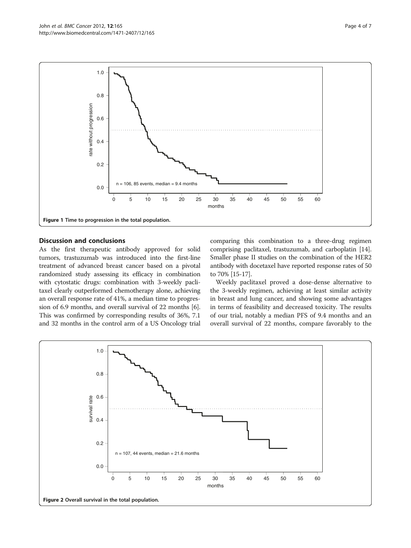<span id="page-3-0"></span>

# Discussion and conclusions

As the first therapeutic antibody approved for solid tumors, trastuzumab was introduced into the first-line treatment of advanced breast cancer based on a pivotal randomized study assessing its efficacy in combination with cytostatic drugs: combination with 3-weekly paclitaxel clearly outperformed chemotherapy alone, achieving an overall response rate of 41%, a median time to progression of 6.9 months, and overall survival of 22 months [[6](#page-6-0)]. This was confirmed by corresponding results of 36%, 7.1 and 32 months in the control arm of a US Oncology trial comparing this combination to a three-drug regimen comprising paclitaxel, trastuzumab, and carboplatin [[14](#page-6-0)]. Smaller phase II studies on the combination of the HER2 antibody with docetaxel have reported response rates of 50 to 70% [\[15-17](#page-6-0)].

Weekly paclitaxel proved a dose-dense alternative to the 3-weekly regimen, achieving at least similar activity in breast and lung cancer, and showing some advantages in terms of feasibility and decreased toxicity. The results of our trial, notably a median PFS of 9.4 months and an overall survival of 22 months, compare favorably to the

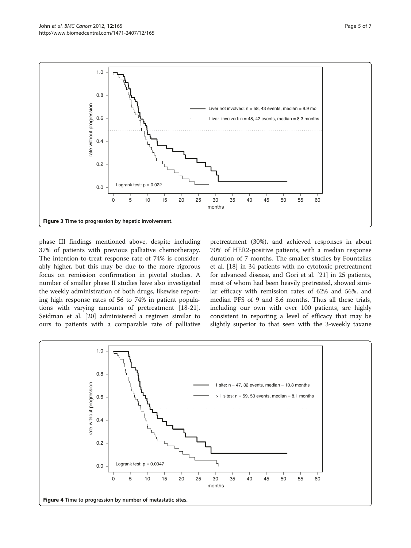<span id="page-4-0"></span>

phase III findings mentioned above, despite including 37% of patients with previous palliative chemotherapy. The intention-to-treat response rate of 74% is considerably higher, but this may be due to the more rigorous focus on remission confirmation in pivotal studies. A number of smaller phase II studies have also investigated the weekly administration of both drugs, likewise reporting high response rates of 56 to 74% in patient populations with varying amounts of pretreatment [\[18-21](#page-6-0)]. Seidman et al. [\[20](#page-6-0)] administered a regimen similar to ours to patients with a comparable rate of palliative

pretreatment (30%), and achieved responses in about 70% of HER2-positive patients, with a median response duration of 7 months. The smaller studies by Fountzilas et al. [[18\]](#page-6-0) in 34 patients with no cytotoxic pretreatment for advanced disease, and Gori et al. [[21\]](#page-6-0) in 25 patients, most of whom had been heavily pretreated, showed similar efficacy with remission rates of 62% and 56%, and median PFS of 9 and 8.6 months. Thus all these trials, including our own with over 100 patients, are highly consistent in reporting a level of efficacy that may be slightly superior to that seen with the 3-weekly taxane

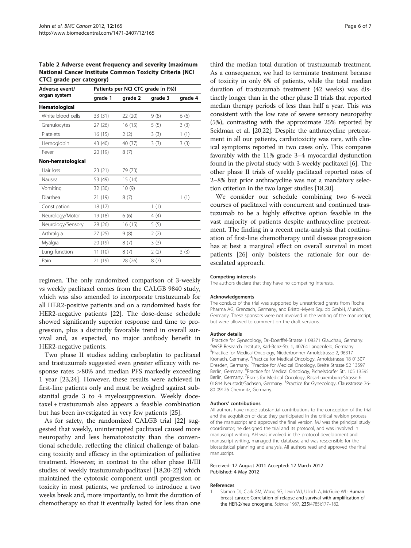<span id="page-5-0"></span>Table 2 Adverse event frequency and severity (maximum National Cancer Institute Common Toxicity Criteria [NCI CTC] grade per category)

| Adverse event/    | Patients per NCI CTC grade [n (%)] |         |         |         |  |  |  |
|-------------------|------------------------------------|---------|---------|---------|--|--|--|
| organ system      | grade 1                            | grade 2 | grade 3 | grade 4 |  |  |  |
| Hematological     |                                    |         |         |         |  |  |  |
| White blood cells | 33(31)                             | 22 (20) | 9(8)    | 6(6)    |  |  |  |
| Granulocytes      | 27(26)                             | 16(15)  | 5(5)    | 3(3)    |  |  |  |
| Platelets         | 16(15)                             | 2(2)    | 3(3)    | 1(1)    |  |  |  |
| Hemoglobin        | 43 (40)                            | 40 (37) | 3(3)    | 3(3)    |  |  |  |
| Fever             | 20 (19)                            | 8(7)    |         |         |  |  |  |
| Non-hematological |                                    |         |         |         |  |  |  |
| Hair loss         | 23 (21)                            | 79 (73) |         |         |  |  |  |
| Nausea            | 53 (49)                            | 15(14)  |         |         |  |  |  |
| Vomiting          | 32 (30)                            | 10(9)   |         |         |  |  |  |
| Diarrhea          | 21 (19)                            | 8(7)    |         | 1(1)    |  |  |  |
| Constipation      | 18(17)                             |         | 1(1)    |         |  |  |  |
| Neurology/Motor   | 19 (18)                            | 6(6)    | 4 (4)   |         |  |  |  |
| Neurology/Sensory | 28 (26)                            | 16(15)  | 5(5)    |         |  |  |  |
| Arthralgia        | 27(25)                             | 9(8)    | 2(2)    |         |  |  |  |
| Myalgia           | 20 (19)                            | 8(7)    | 3(3)    |         |  |  |  |
| Lung function     | 11(10)                             | 8(7)    | 2(2)    | 3(3)    |  |  |  |
| Pain              | 21 (19)                            | 28 (26) | 8(7)    |         |  |  |  |

regimen. The only randomized comparison of 3-weekly vs weekly paclitaxel comes from the CALGB 9840 study, which was also amended to incorporate trastuzumab for all HER2-positive patients and on a randomized basis for HER2-negative patients [\[22](#page-6-0)]. The dose-dense schedule showed significantly superior response and time to progression, plus a distinctly favorable trend in overall survival and, as expected, no major antibody benefit in HER2-negative patients.

Two phase II studies adding carboplatin to paclitaxel and trastuzumab suggested even greater efficacy with response rates >80% and median PFS markedly exceeding 1 year [\[23,24\]](#page-6-0). However, these results were achieved in first-line patients only and must be weighed against substantial grade 3 to 4 myelosuppression. Weekly docetaxel + trastuzumab also appears a feasible combination but has been investigated in very few patients [\[25](#page-6-0)].

As for safety, the randomized CALGB trial [[22\]](#page-6-0) suggested that weekly, uninterrupted paclitaxel caused more neuropathy and less hematotoxicity than the conventional schedule, reflecting the clinical challenge of balancing toxicity and efficacy in the optimization of palliative treatment. However, in contrast to the other phase II/III studies of weekly trastuzumab/paclitaxel [\[18,20-22\]](#page-6-0) which maintained the cytotoxic component until progression or toxicity in most patients, we preferred to introduce a two weeks break and, more importantly, to limit the duration of chemotherapy so that it eventually lasted for less than one

third the median total duration of trastuzumab treatment. As a consequence, we had to terminate treatment because of toxicity in only 6% of patients, while the total median duration of trastuzumab treatment (42 weeks) was distinctly longer than in the other phase II trials that reported median therapy periods of less than half a year. This was consistent with the low rate of severe sensory neuropathy (5%), contrasting with the approximate 25% reported by Seidman et al. [\[20,22\]](#page-6-0). Despite the anthracycline pretreatment in all our patients, cardiotoxicity was rare, with clinical symptoms reported in two cases only. This compares favorably with the 11% grade 3–4 myocardial dysfunction found in the pivotal study with 3-weekly paclitaxel [\[6\]](#page-6-0). The other phase II trials of weekly paclitaxel reported rates of 2–8% but prior anthracycline was not a mandatory selection criterion in the two larger studies [\[18,20](#page-6-0)].

We consider our schedule combining two 6-week courses of paclitaxel with concurrent and continued trastuzumab to be a highly effective option feasible in the vast majority of patients despite anthracycline pretreatment. The finding in a recent meta-analysis that continuation of first-line chemotherapy until disease progression has at best a marginal effect on overall survival in most patients [\[26\]](#page-6-0) only bolsters the rationale for our deescalated approach.

#### Competing interests

The authors declare that they have no competing interests.

#### Acknowledgements

The conduct of the trial was supported by unrestricted grants from Roche Pharma AG, Grenzach, Germany, and Bristol-Myers Squibb GmbH, Munich, Germany. These sponsors were not involved in the writing of the manuscript, but were allowed to comment on the draft versions.

#### Author details

<sup>1</sup> Practice for Gynecology, Dr.-Doerffel-Strasse 1 08371 Glauchau, Germany 2 WiSP Research Institute, Karl-Benz-Str. 1, 40764 Langenfeld, Germany. <sup>3</sup>Practice for Medical Oncology, Niederbonner Arnoldstrasse 2, 96317 Kronach, Germany. <sup>4</sup>Practice for Medical Oncology, Arnoldstrasse 18 01307 Dresden, Germany. <sup>5</sup>Practice for Medical Oncology, Breite Strasse 52 13597 Berlin, Germany. <sup>6</sup>Practice for Medical Oncology, Pichelsdorfer Str. 105 13595 Berlin, Germany. <sup>7</sup> Praxis for Medical Oncology, Rosa-Luxemburg-Strasse 6 01844 Neustadt/Sachsen, Germany. <sup>8</sup>Practice for Gynecology, Clausstrasse 76-80 09126 Chemnitz, Germany.

#### Authors' contributions

All authors have made substantial contributions to the conception of the trial and the acquisition of data; they participated in the critical revision process of the manuscript and approved the final version. MJ was the principal study coordinator; he designed the trial and its protocol, and was involved in manuscript writing. AH was involved in the protocol development and manuscript writing, managed the database and was responsible for the biostatistical planning and analysis. All authors read and approved the final manuscript.

#### Received: 17 August 2011 Accepted: 12 March 2012 Published: 4 May 2012

#### References

1. Slamon DJ, Clark GM, Wong SG, Levin WJ, Ullrich A, McGuire WL: Human breast cancer: Correlation of relapse and survival with amplification of the HER-2/neu oncogene. Science 1987, 235(4785):177–182.